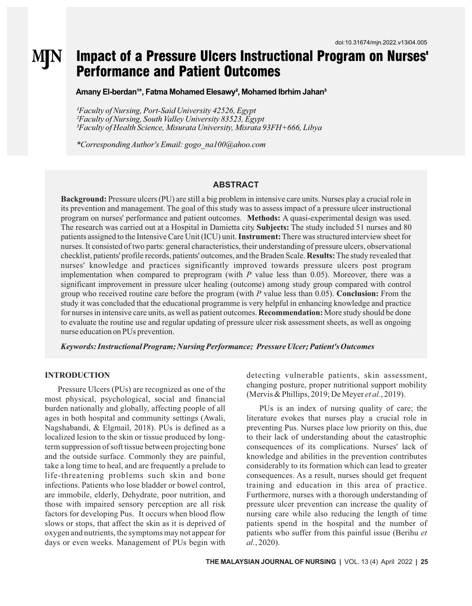# Impact of a Pressure Ulcers Instructional Program on Nurses' MN Performance and Patient Outcomes

Amany El-berdan<sup>1\*</sup>, Fatma Mohamed Elesawy<sup>2</sup>, Mohamed Ibrhim Jahan<sup>3</sup>

*Faculty of Nursing, Port-Said University 42526, Egypt Faculty of Nursing, South Valley University 83523, Egypt Faculty of Health Science, Misurata University, Misrata 93FH+666, Libya*

*\*Corresponding Author's Email: gogo\_na100@ahoo.com*

### **ABSTRACT**

**Background:** Pressure ulcers (PU) are still a big problem in intensive care units. Nurses play a crucial role in its prevention and management. The goal of this study was to assess impact of a pressure ulcer instructional program on nurses' performance and patient outcomes. **Methods:** A quasi-experimental design was used. The research was carried out at a Hospital in Damietta city. **Subjects:** The study included 51 nurses and 80 patients assigned to the Intensive Care Unit (ICU) unit. **Instrument:**There was structured interview sheet for nurses. It consisted of two parts: general characteristics, their understanding of pressure ulcers, observational checklist, patients' profile records, patients' outcomes, and the Braden Scale. **Results:**The study revealed that nurses' knowledge and practices significantly improved towards pressure ulcers post program implementation when compared to preprogram (with *P* value less than 0.05). Moreover, there was a significant improvement in pressure ulcer healing (outcome) among study group compared with control group who received routine care before the program (with *P* value less than 0.05). **Conclusion:** From the study it was concluded that the educational programme is very helpful in enhancing knowledge and practice for nurses in intensive care units, as well as patient outcomes. **Recommendation:**More study should be done to evaluate the routine use and regular updating of pressure ulcer risk assessment sheets, as well as ongoing nurse education on PUs prevention.

*Keywords: Instructional Program; Nursing Performance; Pressure Ulcer; Patient's Outcomes*

#### **INTRODUCTION**

Pressure Ulcers (PUs) are recognized as one of the most physical, psychological, social and financial burden nationally and globally, affecting people of all ages in both hospital and community settings (Awali, Nagshabandi, & Elgmail, 2018). PUs is defined as a localized lesion to the skin or tissue produced by longterm suppression of soft tissue between projecting bone and the outside surface. Commonly they are painful, take a long time to heal, and are frequently a prelude to life-threatening problems such skin and bone infections. Patients who lose bladder or bowel control, are immobile, elderly, Dehydrate, poor nutrition, and those with impaired sensory perception are all risk factors for developing Pus. It occurs when blood flow slows or stops, that affect the skin as it is deprived of oxygen and nutrients, the symptoms may not appear for days or even weeks. Management of PUs begin with

detecting vulnerable patients, skin assessment, changing posture, proper nutritional support mobility (Mervis & Phillips, 2019; De Meyer *et al.*, 2019).

PUs is an index of nursing quality of care; the literature evokes that nurses play a crucial role in preventing Pus. Nurses place low priority on this, due to their lack of understanding about the catastrophic consequences of its complications. Nurses' lack of knowledge and abilities in the prevention contributes considerably to its formation which can lead to greater consequences. As a result, nurses should get frequent training and education in this area of practice. Furthermore, nurses with a thorough understanding of pressure ulcer prevention can increase the quality of nursing care while also reducing the length of time patients spend in the hospital and the number of patients who suffer from this painful issue (Berihu *et al.*, 2020).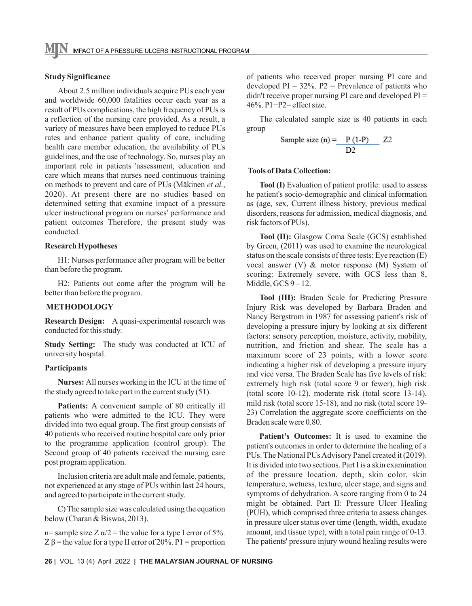## **Study Significance**

About 2.5 million individuals acquire PUs each year and worldwide 60,000 fatalities occur each year as a result of PUs complications, the high frequency of PUs is a reflection of the nursing care provided. As a result, a variety of measures have been employed to reduce PUs rates and enhance patient quality of care, including health care member education, the availability of PUs guidelines, and the use of technology. So, nurses play an important role in patients 'assessment, education and care which means that nurses need continuous training on methods to prevent and care of PUs (Mäkinen *et al.*, 2020). At present there are no studies based on determined setting that examine impact of a pressure ulcer instructional program on nurses' performance and patient outcomes Therefore, the present study was conducted.

#### **Research Hypotheses**

H1: Nurses performance after program will be better than before the program.

H2: Patients out come after the program will be better than before the program.

### **METHODOLOGY**

**Research Design:** A quasi-experimental research was conducted for this study.

**Study Setting:** The study was conducted at ICU of university hospital.

## **Participants**

**Nurses:** All nurses working in the ICU at the time of the study agreed to take part in the current study (51).

**Patients:** A convenient sample of 80 critically ill patients who were admitted to the ICU. They were divided into two equal group. The first group consists of 40 patients who received routine hospital care only prior to the programme application (control group). The Second group of 40 patients received the nursing care post program application.

Inclusion criteria are adult male and female, patients, not experienced at any stage of PUs within last 24 hours, and agreed to participate in the current study.

C) The sample size was calculated using the equation below (Charan & Biswas, 2013).

n= sample size  $Z \alpha/2$  = the value for a type I error of 5%. Z  $\beta$  = the value for a type II error of 20%. P1 = proportion of patients who received proper nursing PI care and developed  $PI = 32\%$ . P2 = Prevalence of patients who didn't receive proper nursing PI care and developed PI = 46%. P1−P2= effect size.

The calculated sample size is 40 patients in each group

Sample size (n) = 
$$
\frac{P(1-P)}{D2}
$$
 Z2

#### **Tools of Data Collection:**

**Tool (I)** Evaluation of patient profile: used to assess he patient's socio-demographic and clinical information as (age, sex, Current illness history, previous medical disorders, reasons for admission, medical diagnosis, and risk factors of PUs).

**Tool (II):** Glasgow Coma Scale (GCS) established by Green, (2011) was used to examine the neurological status on the scale consists of three tests: Eye reaction (E) vocal answer (V) & motor response (M) System of scoring: Extremely severe, with GCS less than 8, Middle,  $GCS 9-12$ .

**Tool (III):** Braden Scale for Predicting Pressure Injury Risk was developed by Barbara Braden and Nancy Bergstrom in 1987 for assessing patient's risk of developing a pressure injury by looking at six different factors: sensory perception, moisture, activity, mobility, nutrition, and friction and shear. The scale has a maximum score of 23 points, with a lower score indicating a higher risk of developing a pressure injury and vice versa. The Braden Scale has five levels of risk: extremely high risk (total score 9 or fewer), high risk (total score 10-12), moderate risk (total score 13-14), mild risk (total score 15-18), and no risk (total score 19- 23) Correlation the aggregate score coefficients on the Braden scale were 0.80.

**Patient's Outcomes:** It is used to examine the patient's outcomes in order to determine the healing of a PUs. The National PUs Advisory Panel created it (2019). It is divided into two sections. Part I is a skin examination of the pressure location, depth, skin color, skin temperature, wetness, texture, ulcer stage, and signs and symptoms of dehydration. A score ranging from 0 to 24 might be obtained. Part II: Pressure Ulcer Healing (PUH), which comprised three criteria to assess changes in pressure ulcer status over time (length, width, exudate amount, and tissue type), with a total pain range of 0-13. The patients' pressure injury wound healing results were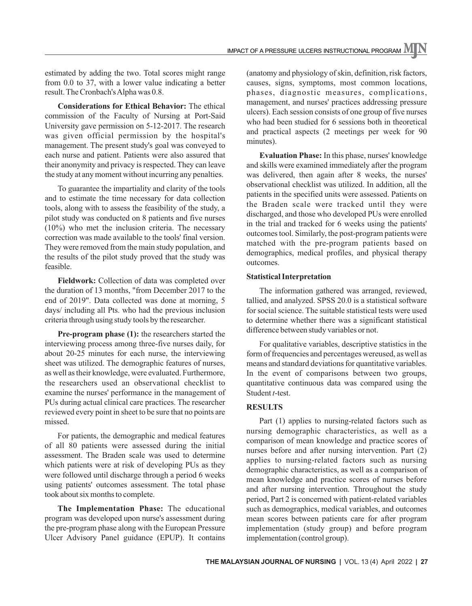estimated by adding the two. Total scores might range from 0.0 to 37, with a lower value indicating a better result. The Cronbach's Alpha was 0.8.

**Considerations for Ethical Behavior:** The ethical commission of the Faculty of Nursing at Port-Said University gave permission on 5-12-2017. The research was given official permission by the hospital's management. The present study's goal was conveyed to each nurse and patient. Patients were also assured that their anonymity and privacy is respected. They can leave the study at any moment without incurring any penalties.

To guarantee the impartiality and clarity of the tools and to estimate the time necessary for data collection tools, along with to assess the feasibility of the study, a pilot study was conducted on 8 patients and five nurses (10%) who met the inclusion criteria. The necessary correction was made available to the tools' final version. They were removed from the main study population, and the results of the pilot study proved that the study was feasible.

**Fieldwork:** Collection of data was completed over the duration of 13 months, "from December 2017 to the end of 2019". Data collected was done at morning, 5 days/ including all Pts. who had the previous inclusion criteria through using study tools by the researcher.

**Pre-program phase (1):** the researchers started the interviewing process among three-five nurses daily, for about 20-25 minutes for each nurse, the interviewing sheet was utilized. The demographic features of nurses, as well as their knowledge, were evaluated. Furthermore, the researchers used an observational checklist to examine the nurses' performance in the management of PUs during actual clinical care practices. The researcher reviewed every point in sheet to be sure that no points are missed.

For patients, the demographic and medical features of all 80 patients were assessed during the initial assessment. The Braden scale was used to determine which patients were at risk of developing PUs as they were followed until discharge through a period 6 weeks using patients' outcomes assessment. The total phase took about six months to complete.

**The Implementation Phase:** The educational program was developed upon nurse's assessment during the pre-program phase along with the European Pressure Ulcer Advisory Panel guidance (EPUP). It contains

(anatomy and physiology of skin, definition, risk factors, causes, signs, symptoms, most common locations, phases, diagnostic measures, complications, management, and nurses' practices addressing pressure ulcers). Each session consists of one group of five nurses who had been studied for 6 sessions both in theoretical and practical aspects (2 meetings per week for 90 minutes).

**Evaluation Phase:** In this phase, nurses' knowledge and skills were examined immediately after the program was delivered, then again after 8 weeks, the nurses' observational checklist was utilized. In addition, all the patients in the specified units were assessed. Patients on the Braden scale were tracked until they were discharged, and those who developed PUs were enrolled in the trial and tracked for 6 weeks using the patients' outcomes tool. Similarly, the post-program patients were matched with the pre-program patients based on demographics, medical profiles, and physical therapy outcomes.

### **Statistical Interpretation**

The information gathered was arranged, reviewed, tallied, and analyzed. SPSS 20.0 is a statistical software for social science. The suitable statistical tests were used to determine whether there was a significant statistical difference between study variables or not.

For qualitative variables, descriptive statistics in the form of frequencies and percentages wereused, as well as means and standard deviations for quantitative variables. In the event of comparisons between two groups, quantitative continuous data was compared using the Student *t*-test.

### **RESULTS**

Part (1) applies to nursing-related factors such as nursing demographic characteristics, as well as a comparison of mean knowledge and practice scores of nurses before and after nursing intervention. Part (2) applies to nursing-related factors such as nursing demographic characteristics, as well as a comparison of mean knowledge and practice scores of nurses before and after nursing intervention. Throughout the study period, Part 2 is concerned with patient-related variables such as demographics, medical variables, and outcomes mean scores between patients care for after program implementation (study group) and before program implementation (control group).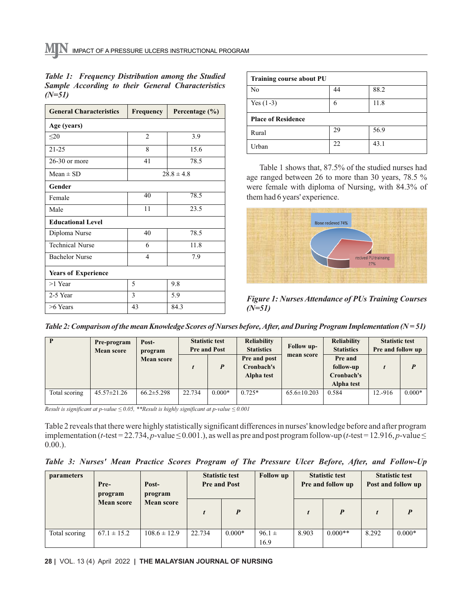| <b>General Characteristics</b> | Frequency      | Percentage $(\% )$ |  |  |  |  |  |  |  |
|--------------------------------|----------------|--------------------|--|--|--|--|--|--|--|
| Age (years)                    |                |                    |  |  |  |  |  |  |  |
| $20$                           | $\overline{2}$ | 3.9                |  |  |  |  |  |  |  |
| $21 - 25$                      | 8              | 15.6               |  |  |  |  |  |  |  |
| $26-30$ or more                | 41             | 78.5               |  |  |  |  |  |  |  |
| Mean $\pm$ SD                  |                | $28.8 \pm 4.8$     |  |  |  |  |  |  |  |
| Gender                         |                |                    |  |  |  |  |  |  |  |
| Female                         | 40             | 78.5               |  |  |  |  |  |  |  |
| Male                           | 11             | 23.5               |  |  |  |  |  |  |  |
| <b>Educational Level</b>       |                |                    |  |  |  |  |  |  |  |
| Diploma Nurse                  | 40             | 78.5               |  |  |  |  |  |  |  |
| <b>Technical Nurse</b>         | 6              | 11.8               |  |  |  |  |  |  |  |
| <b>Bachelor Nurse</b>          | $\overline{4}$ | 7.9                |  |  |  |  |  |  |  |
| <b>Years of Experience</b>     |                |                    |  |  |  |  |  |  |  |
| >1 Year                        | 5              | 9.8                |  |  |  |  |  |  |  |
| 2-5 Year                       | 3              | 5.9                |  |  |  |  |  |  |  |
| $>6$ Years                     | 43             | 84.3               |  |  |  |  |  |  |  |

|        |  |  | Table 1: Frequency Distribution among the Studied        |
|--------|--|--|----------------------------------------------------------|
|        |  |  | <b>Sample According to their General Characteristics</b> |
| (N=51) |  |  |                                                          |

| <b>Training course about PU</b> |    |      |  |  |  |  |  |  |
|---------------------------------|----|------|--|--|--|--|--|--|
| N <sub>0</sub>                  | 44 | 88.2 |  |  |  |  |  |  |
| Yes $(1-3)$                     | 6  | 11.8 |  |  |  |  |  |  |
| <b>Place of Residence</b>       |    |      |  |  |  |  |  |  |
| Rural                           | 29 | 56.9 |  |  |  |  |  |  |
| Urban                           | 22 | 43.1 |  |  |  |  |  |  |

Table 1 shows that, 87.5% of the studied nurses had age ranged between 26 to more than 30 years, 78.5 % were female with diploma of Nursing, with 84.3% of them had 6 years' experience.



*Figure 1: Nurses Attendance of PUs Training Courses (N=51)*

*Table 2: Comparison of the mean Knowledge Scores of Nurses before, After, and During Program Implementation (N = 51)*

|               | Pre-program<br><b>Mean score</b> | Post-<br>program  |        | <b>Statistic test</b><br><b>Pre and Post</b> | <b>Reliability</b><br><b>Statistics</b>  | <b>Follow</b> up- | <b>Reliability</b><br><b>Statistics</b>          | <b>Statistic test</b><br>Pre and follow up |          |
|---------------|----------------------------------|-------------------|--------|----------------------------------------------|------------------------------------------|-------------------|--------------------------------------------------|--------------------------------------------|----------|
|               |                                  | <b>Mean score</b> |        | P                                            | Pre and post<br>Cronbach's<br>Alpha test | mean score        | Pre and<br>follow-up<br>Cronbach's<br>Alpha test |                                            |          |
| Total scoring | $45.57 \pm 21.26$                | $66.2 \pm 5.298$  | 22.734 | $0.000*$                                     | $0.725*$                                 | $65.6 \pm 10.203$ | 0.584                                            | 12.-916                                    | $0.000*$ |

*Result is significant at p-value ≤ 0.05, \*\*Result is highly significant at p-value ≤ 0.001*

Table 2 reveals that there were highly statistically significant differences in nurses' knowledge before and after program implementation ( $t$ -test = 22.734,  $p$ -value  $\leq$  0.001.), as well as pre and post program follow-up ( $t$ -test = 12.916,  $p$ -value  $\leq$ 0.00.).

*Table 3: Nurses' Mean Practice Scores Program of The Pressure Ulcer Before, After, and Follow-Up* 

| <b>parameters</b> | Pre-<br>program   | Post-<br>program  | <b>Statistic test</b><br><b>Pre and Post</b> |          | <b>Follow up</b>   | <b>Statistic test</b><br>Pre and follow up |           | <b>Statistic test</b><br>Post and follow up |          |
|-------------------|-------------------|-------------------|----------------------------------------------|----------|--------------------|--------------------------------------------|-----------|---------------------------------------------|----------|
|                   | <b>Mean score</b> | <b>Mean score</b> |                                              | P        |                    | t                                          | P         |                                             |          |
| Total scoring     | $67.1 \pm 15.2$   | $108.6 \pm 12.9$  | 22.734                                       | $0.000*$ | $96.1 \pm$<br>16.9 | 8.903                                      | $0.000**$ | 8.292                                       | $0.000*$ |

**28 |** VOL. 13 (4) April 2022 **| THE MALAYSIAN JOURNAL OF NURSING**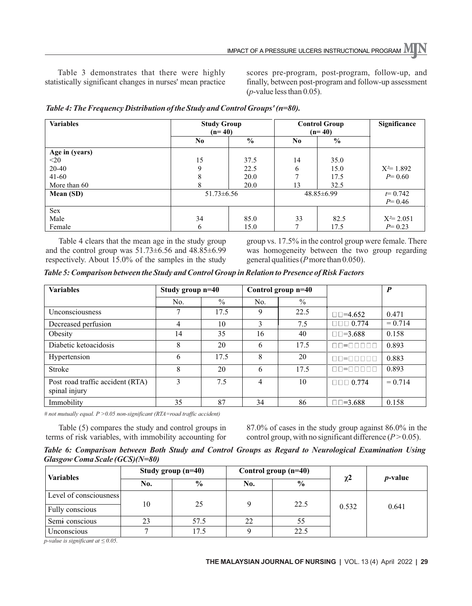Table 3 demonstrates that there were highly statistically significant changes in nurses' mean practice scores pre-program, post-program, follow-up, and finally, between post-program and follow-up assessment (*p*-value less than 0.05).

| <b>Variables</b> | <b>Study Group</b><br>$(n=40)$ |               | <b>Control Group</b><br>$(n=40)$ | Significance     |               |
|------------------|--------------------------------|---------------|----------------------------------|------------------|---------------|
|                  | N <sub>0</sub>                 | $\frac{6}{6}$ | No.                              | $\%$             |               |
| Age in (years)   |                                |               |                                  |                  |               |
| $<$ 20           | 15                             | 37.5          | 14                               | 35.0             |               |
| 20-40            | 9                              | 22.5          | 6                                | 15.0             | $X^2 = 1.892$ |
| $41 - 60$        | 8                              | 20.0          | $\mathbf{r}$                     | 17.5             | $P = 0.60$    |
| More than 60     | 8                              | 20.0          | 13                               | 32.5             |               |
| Mean (SD)        | $51.73 \pm 6.56$               |               |                                  | $48.85 \pm 6.99$ | $t = 0.742$   |
|                  |                                |               |                                  |                  | $P = 0.46$    |
| Sex              |                                |               |                                  |                  |               |
| Male             | 34                             | 85.0          | 33                               | 82.5             | $X^2 = 2.051$ |
| Female           | 6                              | 15.0          |                                  | 17.5             | $P = 0.23$    |

| Table 4: The Frequency Distribution of the Study and Control Groups' (n=80). |  |  |  |
|------------------------------------------------------------------------------|--|--|--|
|                                                                              |  |  |  |

Table 4 clears that the mean age in the study group and the control group was 51.73±6.56 and 48.85±6.99 respectively. About 15.0% of the samples in the study group vs. 17.5% in the control group were female. There was homogeneity between the two group regarding general qualities (*P*more than 0.050).

*Table 5: Comparison between the Study and Control Group in Relation to Presence of Risk Factors*

| <b>Variables</b>                                  | Study group $n=40$ |               | Control group n=40 |               |                        | $\boldsymbol{P}$ |
|---------------------------------------------------|--------------------|---------------|--------------------|---------------|------------------------|------------------|
|                                                   | No.                | $\frac{0}{0}$ | No.                | $\frac{0}{0}$ |                        |                  |
| <b>Unconsciousness</b>                            | 7                  | 17.5          | 9                  | 22.5          | $\Box \Box = 4.652$    | 0.471            |
| Decreased perfusion                               | 4                  | 10            | 3                  | 7.5           | $\Box \Box \Box 0.774$ | $= 0.714$        |
| Obesity                                           | 14                 | 35            | 16                 | 40            | $\Box \Box = 3.688$    | 0.158            |
| Diabetic ketoacidosis                             | 8                  | 20            | 6                  | 17.5          | 00-00000               | 0.893            |
| Hypertension                                      | 6                  | 17.5          | 8                  | 20            | nn=nnnnn               | 0.883            |
| Stroke                                            | 8                  | 20            | 6                  | 17.5          |                        | 0.893            |
| Post road traffic accident (RTA)<br>spinal injury | 3                  | 7.5           | $\overline{4}$     | 10            | $\Box \Box \Box 0.774$ | $= 0.714$        |
| Immobility                                        | 35                 | 87            | 34                 | 86            | $\Box \Box = 3.688$    | 0.158            |

*# not mutually equal. P >0.05 non-significant (RTA=road traffic accident)*

Table (5) compares the study and control groups in terms of risk variables, with immobility accounting for 87.0% of cases in the study group against 86.0% in the control group, with no significant difference  $(P > 0.05)$ .

*Table 6: Comparison between Both Study and Control Groups as Regard to Neurological Examination Using Glasgow Coma Scale (GCS)(N=80)*

| <b>Variables</b>       |     | Study group $(n=40)$ |                      | Control group $(n=40)$ |          |                 |  |
|------------------------|-----|----------------------|----------------------|------------------------|----------|-----------------|--|
|                        | No. | $\frac{6}{9}$        | $\frac{0}{0}$<br>No. |                        | $\chi^2$ | <i>p</i> -value |  |
| Level of consciousness |     |                      |                      |                        |          |                 |  |
| Fully conscious        | 10  | 25                   |                      | 22.5                   | 0.532    | 0.641           |  |
| Semi conscious         | 23  | 57.5                 | 22                   | 55                     |          |                 |  |
| Unconscious            |     | 17.5                 |                      | 22.5                   |          |                 |  |

*p-value is significant at ≤ 0.05.*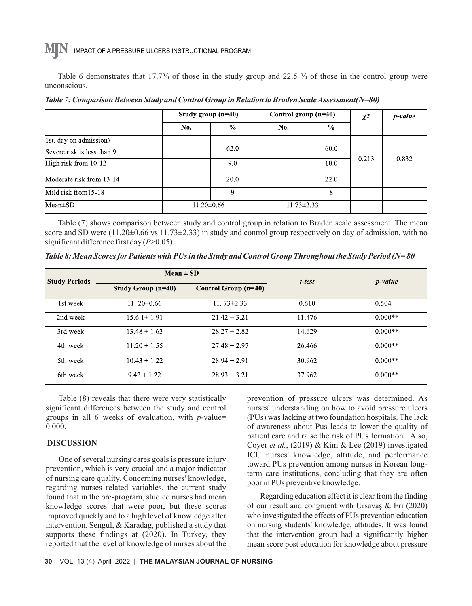Table 6 demonstrates that 17.7% of those in the study group and 22.5 % of those in the control group were unconscious,

|                            |                  | Study group $(n=40)$ |                  | Control group $(n=40)$ |       | p-value |
|----------------------------|------------------|----------------------|------------------|------------------------|-------|---------|
|                            | No.              | $\%$                 | No.              | $\%$                   |       |         |
| 1st. day on admission)     |                  |                      |                  |                        |       |         |
| Severe risk is less than 9 |                  | 62.0                 |                  | 60.0                   |       |         |
| High risk from 10-12       |                  | 9.0                  |                  | 10.0                   | 0.213 | 0.832   |
| Moderate risk from 13-14   |                  | 20.0                 |                  | 22.0                   |       |         |
| Mild risk from 15-18       |                  | 9                    |                  | 8                      |       |         |
| $Mean \pm SD$              | $11.20 \pm 0.66$ |                      | $11.73 \pm 2.33$ |                        |       |         |

*Table 7: Comparison Between Study and Control Group in Relation to Braden Scale Assessment(N=80)*

Table (7) shows comparison between study and control group in relation to Braden scale assessment. The mean score and SD were  $(11.20\pm0.66 \text{ vs } 11.73\pm2.33)$  in study and control group respectively on day of admission, with no significant difference first day (*P*>0.05).

*Table 8: Mean Scores for Patients with PUs in the Study and Control Group Throughout the Study Period (N= 80*

| <b>Study Periods</b> | $Mean \pm SD$             |                             | t-test | <i>p</i> -value |  |
|----------------------|---------------------------|-----------------------------|--------|-----------------|--|
|                      | <b>Study Group (n=40)</b> | <b>Control Group (n=40)</b> |        |                 |  |
| 1st week             | 11.20 $\pm$ 0.66          | 11.73 $\pm$ 2.33            | 0.610  | 0.504           |  |
| 2nd week             | $15.61+1.91$              | $21.42 + 3.21$              | 11.476 | $0.000**$       |  |
| 3rd week             | $13.48 + 1.63$            | $28.27 + 2.82$              | 14.629 | $0.000**$       |  |
| 4th week             | $11.20 + 1.55$            | $27.48 + 2.97$              | 26.466 | $0.000**$       |  |
| 5th week             | $10.43 + 1.22$            | $28.94 + 2.91$              | 30.962 | $0.000**$       |  |
| 6th week             | $9.42 + 1.22$             | $28.93 + 3.21$              | 37.962 | $0.000**$       |  |

Table (8) reveals that there were very statistically significant differences between the study and control groups in all 6 weeks of evaluation, with *p*-value= 0.000.

### **DISCUSSION**

One of several nursing cares goals is pressure injury prevention, which is very crucial and a major indicator of nursing care quality. Concerning nurses' knowledge, regarding nurses related variables, the current study found that in the pre-program, studied nurses had mean knowledge scores that were poor, but these scores improved quickly and to a high level of knowledge after intervention. Sengul, & Karadag, published a study that supports these findings at (2020). In Turkey, they reported that the level of knowledge of nurses about the

prevention of pressure ulcers was determined. As nurses' understanding on how to avoid pressure ulcers (PUs) was lacking at two foundation hospitals. The lack of awareness about Pus leads to lower the quality of patient care and raise the risk of PUs formation. Also, Coyer *et al.*, (2019) & Kim & Lee (2019) investigated ICU nurses' knowledge, attitude, and performance toward PUs prevention among nurses in Korean longterm care institutions, concluding that they are often poor in PUs preventive knowledge.

Regarding education effect it is clear from the finding of our result and congruent with Ursavaş & Eri (2020) who investigated the effects of PUs prevention education on nursing students' knowledge, attitudes. It was found that the intervention group had a significantly higher mean score post education for knowledge about pressure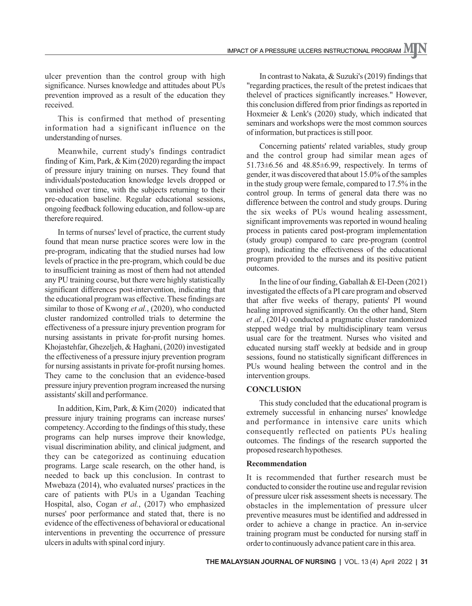ulcer prevention than the control group with high significance. Nurses knowledge and attitudes about PUs prevention improved as a result of the education they received.

This is confirmed that method of presenting information had a significant influence on the understanding of nurses.

Meanwhile, current study's findings contradict finding of Kim, Park, & Kim (2020) regarding the impact of pressure injury training on nurses. They found that individuals'posteducation knowledge levels dropped or vanished over time, with the subjects returning to their pre-education baseline. Regular educational sessions, ongoing feedback following education, and follow-up are therefore required.

In terms of nurses' level of practice, the current study found that mean nurse practice scores were low in the pre-program, indicating that the studied nurses had low levels of practice in the pre-program, which could be due to insufficient training as most of them had not attended any PU training course, but there were highly statistically significant differences post-intervention, indicating that the educational program was effective. These findings are similar to those of Kwong *et al.*, (2020), who conducted cluster randomized controlled trials to determine the effectiveness of a pressure injury prevention program for nursing assistants in private for-profit nursing homes. Khojastehfar, Ghezeljeh, & Haghani, (2020) investigated the effectiveness of a pressure injury prevention program for nursing assistants in private for-profit nursing homes. They came to the conclusion that an evidence-based pressure injury prevention program increased the nursing assistants' skill and performance.

In addition, Kim, Park, & Kim (2020) indicated that pressure injury training programs can increase nurses' competency. According to the findings of this study, these programs can help nurses improve their knowledge, visual discrimination ability, and clinical judgment, and they can be categorized as continuing education programs. Large scale research, on the other hand, is needed to back up this conclusion. In contrast to Mwebaza (2014), who evaluated nurses' practices in the care of patients with PUs in a Ugandan Teaching Hospital, also, Cogan *et al.*, (2017) who emphasized nurses' poor performance and stated that, there is no evidence of the effectiveness of behavioral or educational interventions in preventing the occurrence of pressure ulcers in adults with spinal cord injury.

In contrast to Nakata, & Suzuki's (2019) findings that "regarding practices, the result of the pretest indicaes that thelevel of practices significantly increases." However, this conclusion differed from prior findings as reported in Hoxmeier & Lenk's (2020) study, which indicated that seminars and workshops were the most common sources of information, but practices is still poor.

Concerning patients' related variables, study group and the control group had similar mean ages of  $51.73\pm6.56$  and  $48.85\pm6.99$ , respectively. In terms of gender, it was discovered that about 15.0% of the samples in the study group were female, compared to 17.5% in the control group. In terms of general data there was no difference between the control and study groups. During the six weeks of PUs wound healing assessment, significant improvements was reported in wound healing process in patients cared post-program implementation (study group) compared to care pre-program (control group), indicating the effectiveness of the educational program provided to the nurses and its positive patient outcomes.

In the line of our finding, Gaballah & El-Deen (2021) investigated the effects of a PI care program and observed that after five weeks of therapy, patients' PI wound healing improved significantly. On the other hand, Stern *et al.*, (2014) conducted a pragmatic cluster randomized stepped wedge trial by multidisciplinary team versus usual care for the treatment. Nurses who visited and educated nursing staff weekly at bedside and in group sessions, found no statistically significant differences in PUs wound healing between the control and in the intervention groups.

### **CONCLUSION**

This study concluded that the educational program is extremely successful in enhancing nurses' knowledge and performance in intensive care units which consequently reflected on patients PUs healing outcomes. The findings of the research supported the proposed research hypotheses.

### **Recommendation**

It is recommended that further research must be conducted to consider the routine use and regular revision of pressure ulcer risk assessment sheets is necessary. The obstacles in the implementation of pressure ulcer preventive measures must be identified and addressed in order to achieve a change in practice. An in-service training program must be conducted for nursing staff in order to continuously advance patient care in this area.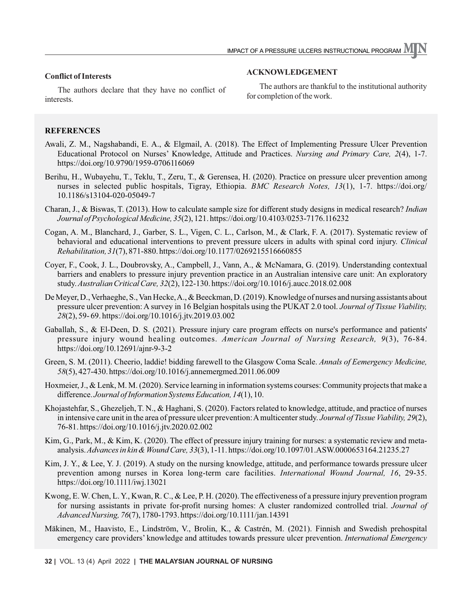# **Conflict of Interests**

The authors declare that they have no conflict of interests.

### **ACKNOWLEDGEMENT**

The authors are thankful to the institutional authority for completion of the work.

## **REFERENCES**

- Awali, Z. M., Nagshabandi, E. A., & Elgmail, A. (2018). The Effect of Implementing Pressure Ulcer Prevention Educational Protocol on Nurses' Knowledge, Attitude and Practices. *Nursing and Primary Care, 2*(4), 1-7. https://doi.org/10.9790/1959-0706116069
- Berihu, H., Wubayehu, T., Teklu, T., Zeru, T., & Gerensea, H. (2020). Practice on pressure ulcer prevention among nurses in selected public hospitals, Tigray, Ethiopia. *BMC Research Notes, 13*(1), 1-7. https://doi.org/ 10.1186/s13104-020-05049-7
- Charan, J., & Biswas, T. (2013). How to calculate sample size for different study designs in medical research? *Indian Journal of Psychological Medicine, 35*(2), 121. https://doi.org/10.4103/0253-7176.116232
- Cogan, A. M., Blanchard, J., Garber, S. L., Vigen, C. L., Carlson, M., & Clark, F. A. (2017). Systematic review of behavioral and educational interventions to prevent pressure ulcers in adults with spinal cord injury. *Clinical Rehabilitation, 31*(7), 871-880. https://doi.org/10.1177/0269215516660855
- Coyer, F., Cook, J. L., Doubrovsky, A., Campbell, J., Vann, A., & McNamara, G. (2019). Understanding contextual barriers and enablers to pressure injury prevention practice in an Australian intensive care unit: An exploratory study. *Australian Critical Care, 32*(2), 122-130. https://doi.org/10.1016/j.aucc.2018.02.008
- De Meyer, D., Verhaeghe, S., Van Hecke, A., & Beeckman, D. (2019). Knowledge of nurses and nursing assistants about pressure ulcer prevention: A survey in 16 Belgian hospitals using the PUKAT 2.0 tool. *Journal of Tissue Viability, 28*(2), 59- 69. https://doi.org/10.1016/j.jtv.2019.03.002
- Gaballah, S., & El-Deen, D. S. (2021). Pressure injury care program effects on nurse's performance and patients' pressure injury wound healing outcomes. *American Journal of Nursing Research, 9*(3), 76-84. https://doi.org/10.12691/ajnr-9-3-2
- Green, S. M. (2011). Cheerio, laddie! bidding farewell to the Glasgow Coma Scale. *Annals of Eemergency Medicine, 58*(5), 427-430. https://doi.org/10.1016/j.annemergmed.2011.06.009
- Hoxmeier, J., & Lenk, M. M. (2020). Service learning in information systems courses: Community projects that make a difference. *Journal of Information Systems Education, 14*(1), 10.
- Khojastehfar, S., Ghezeljeh, T. N., & Haghani, S. (2020). Factors related to knowledge, attitude, and practice of nurses in intensive care unit in the area of pressure ulcer prevention: Amulticenter study. *Journal of Tissue Viability, 29*(2), 76-81. https://doi.org/10.1016/j.jtv.2020.02.002
- Kim, G., Park, M., & Kim, K. (2020). The effect of pressure injury training for nurses: a systematic review and metaanalysis. *Advances in kin & Wound Care, 33*(3), 1-11. https://doi.org/10.1097/01.ASW.0000653164.21235.27
- Kim, J. Y., & Lee, Y. J. (2019). A study on the nursing knowledge, attitude, and performance towards pressure ulcer prevention among nurses in Korea long‐term care facilities. *International Wound Journal, 16*, 29-35. https://doi.org/10.1111/iwj.13021
- Kwong, E. W. Chen, L. Y., Kwan, R. C., & Lee, P. H. (2020). The effectiveness of a pressure injury prevention program for nursing assistants in private for-profit nursing homes: A cluster randomized controlled trial. *Journal of Advanced Nursing, 76*(7), 1780-1793. https://doi.org/10.1111/jan.14391
- Mäkinen, M., Haavisto, E., Lindström, V., Brolin, K., & Castrén, M. (2021). Finnish and Swedish prehospital emergency care providers' knowledge and attitudes towards pressure ulcer prevention. *International Emergency*